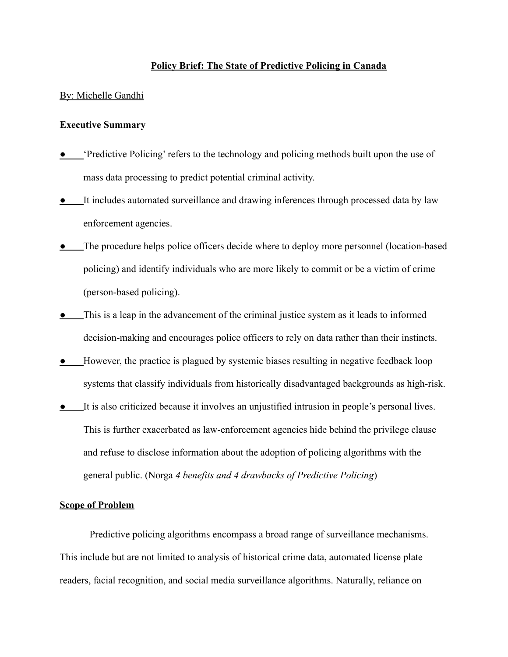## **Policy Brief: The State of Predictive Policing in Canada**

#### By: Michelle Gandhi

## **Executive Summary**

- **•** 'Predictive Policing' refers to the technology and policing methods built upon the use of mass data processing to predict potential criminal activity.
- **●** It includes automated surveillance and drawing inferences through processed data by law enforcement agencies.
- **•** The procedure helps police officers decide where to deploy more personnel (location-based policing) and identify individuals who are more likely to commit or be a victim of crime (person-based policing).
- **●** This is a leap in the advancement of the criminal justice system as it leads to informed decision-making and encourages police officers to rely on data rather than their instincts.
- **●** However, the practice is plagued by systemic biases resulting in negative feedback loop systems that classify individuals from historically disadvantaged backgrounds as high-risk.
- **●** It is also criticized because it involves an unjustified intrusion in people's personal lives. This is further exacerbated as law-enforcement agencies hide behind the privilege clause and refuse to disclose information about the adoption of policing algorithms with the general public. (Norga *4 benefits and 4 drawbacks of Predictive Policing*)

## **Scope of Problem**

Predictive policing algorithms encompass a broad range of surveillance mechanisms. This include but are not limited to analysis of historical crime data, automated license plate readers, facial recognition, and social media surveillance algorithms. Naturally, reliance on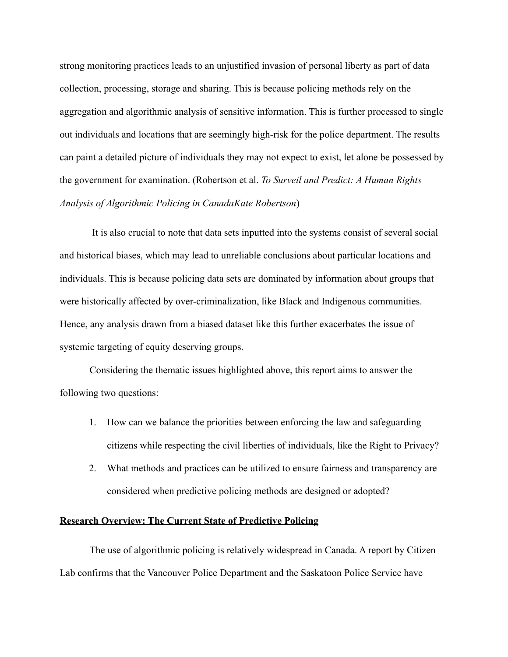strong monitoring practices leads to an unjustified invasion of personal liberty as part of data collection, processing, storage and sharing. This is because policing methods rely on the aggregation and algorithmic analysis of sensitive information. This is further processed to single out individuals and locations that are seemingly high-risk for the police department. The results can paint a detailed picture of individuals they may not expect to exist, let alone be possessed by the government for examination. (Robertson et al. *To Surveil and Predict: A Human Rights Analysis of Algorithmic Policing in CanadaKate Robertson*)

It is also crucial to note that data sets inputted into the systems consist of several social and historical biases, which may lead to unreliable conclusions about particular locations and individuals. This is because policing data sets are dominated by information about groups that were historically affected by over-criminalization, like Black and Indigenous communities. Hence, any analysis drawn from a biased dataset like this further exacerbates the issue of systemic targeting of equity deserving groups.

Considering the thematic issues highlighted above, this report aims to answer the following two questions:

- 1. How can we balance the priorities between enforcing the law and safeguarding citizens while respecting the civil liberties of individuals, like the Right to Privacy?
- 2. What methods and practices can be utilized to ensure fairness and transparency are considered when predictive policing methods are designed or adopted?

# **Research Overview: The Current State of Predictive Policing**

The use of algorithmic policing is relatively widespread in Canada. A report by Citizen Lab confirms that the Vancouver Police Department and the Saskatoon Police Service have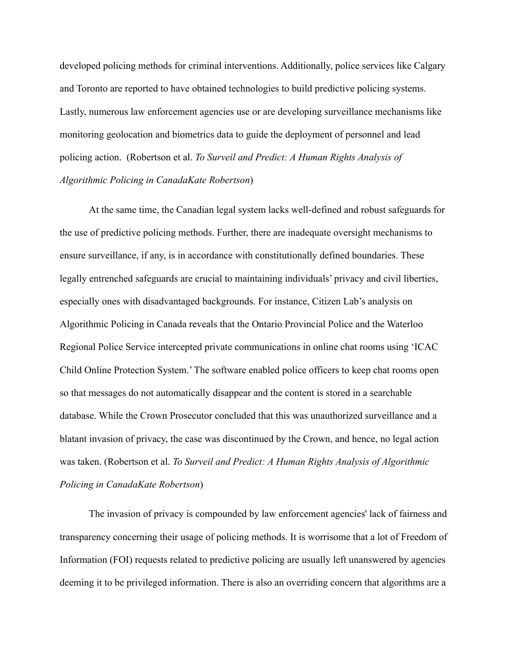developed policing methods for criminal interventions. Additionally, police services like Calgary and Toronto are reported to have obtained technologies to build predictive policing systems. Lastly, numerous law enforcement agencies use or are developing surveillance mechanisms like monitoring geolocation and biometrics data to guide the deployment of personnel and lead policing action. (Robertson et al. *To Surveil and Predict: A Human Rights Analysis of Algorithmic Policing in CanadaKate Robertson*)

At the same time, the Canadian legal system lacks well-defined and robust safeguards for the use of predictive policing methods. Further, there are inadequate oversight mechanisms to ensure surveillance, if any, is in accordance with constitutionally defined boundaries. These legally entrenched safeguards are crucial to maintaining individuals' privacy and civil liberties, especially ones with disadvantaged backgrounds. For instance, Citizen Lab's analysis on Algorithmic Policing in Canada reveals that the Ontario Provincial Police and the Waterloo Regional Police Service intercepted private communications in online chat rooms using 'ICAC Child Online Protection System.' The software enabled police officers to keep chat rooms open so that messages do not automatically disappear and the content is stored in a searchable database. While the Crown Prosecutor concluded that this was unauthorized surveillance and a blatant invasion of privacy, the case was discontinued by the Crown, and hence, no legal action was taken. (Robertson et al. *To Surveil and Predict: A Human Rights Analysis of Algorithmic Policing in CanadaKate Robertson*)

The invasion of privacy is compounded by law enforcement agencies' lack of fairness and transparency concerning their usage of policing methods. It is worrisome that a lot of Freedom of Information (FOI) requests related to predictive policing are usually left unanswered by agencies deeming it to be privileged information. There is also an overriding concern that algorithms are a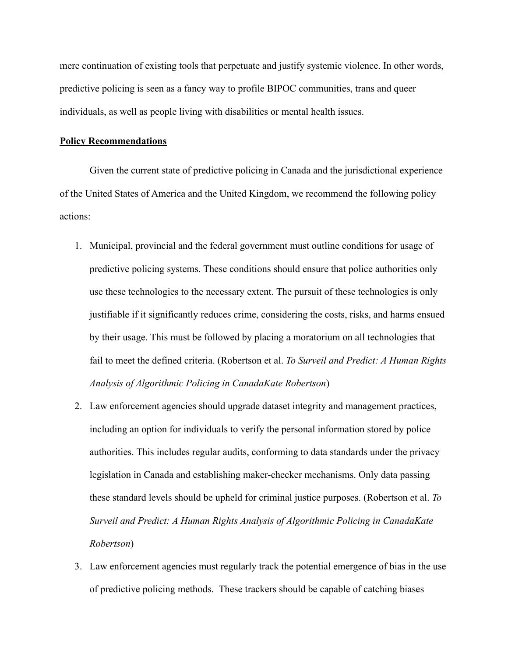mere continuation of existing tools that perpetuate and justify systemic violence. In other words, predictive policing is seen as a fancy way to profile BIPOC communities, trans and queer individuals, as well as people living with disabilities or mental health issues.

### **Policy Recommendations**

Given the current state of predictive policing in Canada and the jurisdictional experience of the United States of America and the United Kingdom, we recommend the following policy actions:

- 1. Municipal, provincial and the federal government must outline conditions for usage of predictive policing systems. These conditions should ensure that police authorities only use these technologies to the necessary extent. The pursuit of these technologies is only justifiable if it significantly reduces crime, considering the costs, risks, and harms ensued by their usage. This must be followed by placing a moratorium on all technologies that fail to meet the defined criteria. (Robertson et al. *To Surveil and Predict: A Human Rights Analysis of Algorithmic Policing in CanadaKate Robertson*)
- 2. Law enforcement agencies should upgrade dataset integrity and management practices, including an option for individuals to verify the personal information stored by police authorities. This includes regular audits, conforming to data standards under the privacy legislation in Canada and establishing maker-checker mechanisms. Only data passing these standard levels should be upheld for criminal justice purposes. (Robertson et al. *To Surveil and Predict: A Human Rights Analysis of Algorithmic Policing in CanadaKate Robertson*)
- 3. Law enforcement agencies must regularly track the potential emergence of bias in the use of predictive policing methods. These trackers should be capable of catching biases